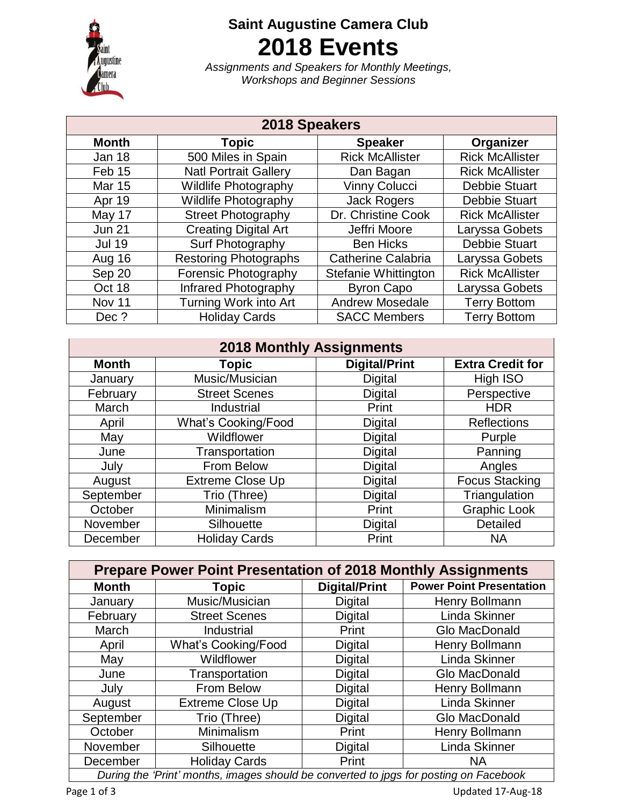

## **Saint Augustine Camera Club 2018 Events**

*Assignments and Speakers for Monthly Meetings, Workshops and Beginner Sessions*

| 2018 Speakers |                                |                             |                        |  |
|---------------|--------------------------------|-----------------------------|------------------------|--|
| <b>Month</b>  | <b>Topic</b><br><b>Speaker</b> |                             | Organizer              |  |
| Jan 18        | 500 Miles in Spain             | <b>Rick McAllister</b>      | <b>Rick McAllister</b> |  |
| Feb 15        | <b>Natl Portrait Gallery</b>   | Dan Bagan                   | <b>Rick McAllister</b> |  |
| <b>Mar 15</b> | <b>Wildlife Photography</b>    | <b>Vinny Colucci</b>        | <b>Debbie Stuart</b>   |  |
| Apr 19        | <b>Wildlife Photography</b>    | <b>Jack Rogers</b>          | <b>Debbie Stuart</b>   |  |
| May 17        | <b>Street Photography</b>      | Dr. Christine Cook          | <b>Rick McAllister</b> |  |
| <b>Jun 21</b> | <b>Creating Digital Art</b>    | Jeffri Moore                | Laryssa Gobets         |  |
| <b>Jul 19</b> | Surf Photography               | <b>Ben Hicks</b>            | <b>Debbie Stuart</b>   |  |
| Aug 16        | <b>Restoring Photographs</b>   | <b>Catherine Calabria</b>   | Laryssa Gobets         |  |
| Sep 20        | Forensic Photography           | <b>Stefanie Whittington</b> | <b>Rick McAllister</b> |  |
| Oct 18        | Infrared Photography           | <b>Byron Capo</b>           | Laryssa Gobets         |  |
| Nov 11        | Turning Work into Art          | <b>Andrew Mosedale</b>      | <b>Terry Bottom</b>    |  |
| Dec ?         | <b>Holiday Cards</b>           | <b>SACC Members</b>         | <b>Terry Bottom</b>    |  |

| <b>2018 Monthly Assignments</b> |                                       |                      |                         |
|---------------------------------|---------------------------------------|----------------------|-------------------------|
| <b>Month</b><br><b>Topic</b>    |                                       | <b>Digital/Print</b> | <b>Extra Credit for</b> |
| January                         | Music/Musician                        | <b>Digital</b>       | High ISO                |
| February                        | <b>Street Scenes</b>                  | Digital              | Perspective             |
| March                           | Industrial                            | Print                | <b>HDR</b>              |
| April                           | <b>What's Cooking/Food</b><br>Digital |                      | <b>Reflections</b>      |
| May                             | Wildflower                            | Digital              | Purple                  |
| June                            | Transportation                        | <b>Digital</b>       | Panning                 |
| July                            | From Below                            | Digital              | Angles                  |
| August                          | Extreme Close Up                      | Digital              | <b>Focus Stacking</b>   |
| September                       | Trio (Three)                          | <b>Digital</b>       | Triangulation           |
| October                         | Minimalism                            | Print                | <b>Graphic Look</b>     |
| November                        | Silhouette                            | <b>Digital</b>       | Detailed                |
| December                        | <b>Holiday Cards</b>                  | Print                | <b>NA</b>               |

| <b>Prepare Power Point Presentation of 2018 Monthly Assignments</b>                   |                            |                      |                                 |
|---------------------------------------------------------------------------------------|----------------------------|----------------------|---------------------------------|
| <b>Month</b>                                                                          | <b>Topic</b>               | <b>Digital/Print</b> | <b>Power Point Presentation</b> |
| January                                                                               | Music/Musician             | <b>Digital</b>       | Henry Bollmann                  |
| February                                                                              | <b>Street Scenes</b>       | <b>Digital</b>       | Linda Skinner                   |
| March                                                                                 | Industrial                 | Print                | <b>Glo MacDonald</b>            |
| April                                                                                 | <b>What's Cooking/Food</b> | Digital              | Henry Bollmann                  |
| May                                                                                   | Wildflower                 | Digital              | Linda Skinner                   |
| June                                                                                  | Transportation             | Digital              | Glo MacDonald                   |
| July                                                                                  | From Below                 | Digital              | Henry Bollmann                  |
| August                                                                                | <b>Extreme Close Up</b>    | Digital              | Linda Skinner                   |
| September                                                                             | Trio (Three)               | Digital              | Glo MacDonald                   |
| October                                                                               | Minimalism                 | Print                | Henry Bollmann                  |
| November                                                                              | Silhouette                 | <b>Digital</b>       | Linda Skinner                   |
| December                                                                              | <b>Holiday Cards</b>       | Print                | NA.                             |
| During the 'Print' months, images should be converted to jpgs for posting on Facebook |                            |                      |                                 |

*During the 'Print' months, images should be converted to jpgs for posting on Facebook*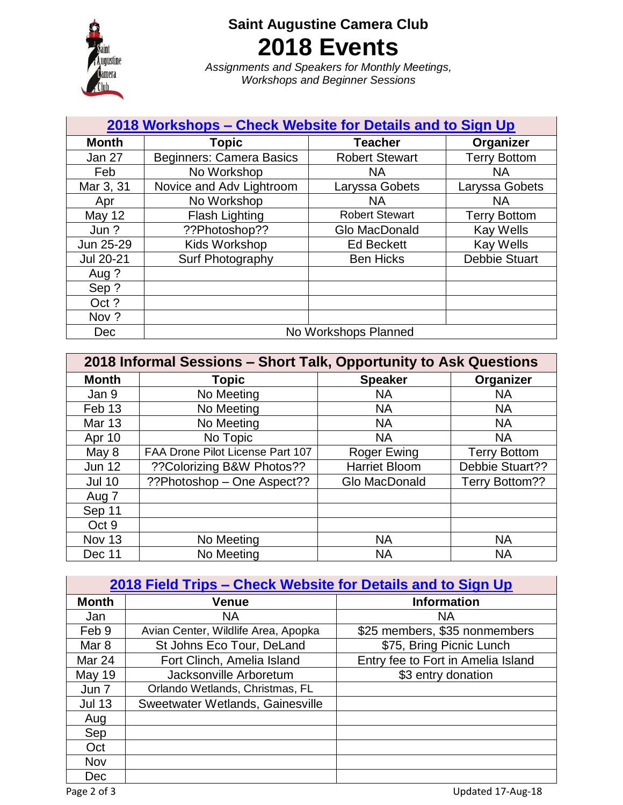

## **Saint Augustine Camera Club 2018 Events**

*Assignments and Speakers for Monthly Meetings, Workshops and Beginner Sessions*

| 2018 Workshops - Check Website for Details and to Sign Up |                                 |                       |                      |
|-----------------------------------------------------------|---------------------------------|-----------------------|----------------------|
| <b>Month</b>                                              | <b>Topic</b>                    | <b>Teacher</b>        | Organizer            |
| Jan 27                                                    | <b>Beginners: Camera Basics</b> | <b>Robert Stewart</b> | <b>Terry Bottom</b>  |
| Feb                                                       | No Workshop                     | <b>NA</b>             | <b>NA</b>            |
| Mar 3, 31                                                 | Novice and Adv Lightroom        | Laryssa Gobets        | Laryssa Gobets       |
| Apr                                                       | No Workshop                     | <b>NA</b>             | <b>NA</b>            |
| <b>May 12</b>                                             | Flash Lighting                  | <b>Robert Stewart</b> | <b>Terry Bottom</b>  |
| Jun?                                                      | ??Photoshop??                   | Glo MacDonald         | <b>Kay Wells</b>     |
| Jun 25-29                                                 | Kids Workshop                   | <b>Ed Beckett</b>     | <b>Kay Wells</b>     |
| Jul 20-21                                                 | Surf Photography                | <b>Ben Hicks</b>      | <b>Debbie Stuart</b> |
| Aug ?                                                     |                                 |                       |                      |
| Sep?                                                      |                                 |                       |                      |
| Oct?                                                      |                                 |                       |                      |
| Nov?                                                      |                                 |                       |                      |
| Dec                                                       | No Workshops Planned            |                       |                      |

| 2018 Informal Sessions - Short Talk, Opportunity to Ask Questions |                                  |                      |                     |
|-------------------------------------------------------------------|----------------------------------|----------------------|---------------------|
| <b>Month</b>                                                      | <b>Topic</b>                     | <b>Speaker</b>       | Organizer           |
| Jan 9                                                             | No Meeting                       | <b>NA</b>            | <b>NA</b>           |
| Feb 13                                                            | No Meeting                       | <b>NA</b>            | <b>NA</b>           |
| <b>Mar 13</b>                                                     | No Meeting                       | <b>NA</b>            | <b>NA</b>           |
| Apr 10                                                            | No Topic                         | <b>NA</b>            | <b>NA</b>           |
| May 8                                                             | FAA Drone Pilot License Part 107 | <b>Roger Ewing</b>   | <b>Terry Bottom</b> |
| <b>Jun 12</b>                                                     | ?? Colorizing B&W Photos??       | <b>Harriet Bloom</b> | Debbie Stuart??     |
| <b>Jul 10</b>                                                     | ??Photoshop - One Aspect??       | Glo MacDonald        | Terry Bottom??      |
| Aug 7                                                             |                                  |                      |                     |
| Sep 11                                                            |                                  |                      |                     |
| Oct 9                                                             |                                  |                      |                     |
| Nov 13                                                            | No Meeting                       | <b>NA</b>            | <b>NA</b>           |
| Dec 11                                                            | No Meeting                       | <b>NA</b>            | <b>NA</b>           |

| 2018 Field Trips – Check Website for Details and to Sign Up |                                     |                                    |  |
|-------------------------------------------------------------|-------------------------------------|------------------------------------|--|
| <b>Month</b>                                                | <b>Venue</b>                        | <b>Information</b>                 |  |
| Jan                                                         | <b>NA</b>                           | <b>NA</b>                          |  |
| Feb 9                                                       | Avian Center, Wildlife Area, Apopka | \$25 members, \$35 nonmembers      |  |
| Mar 8                                                       | St Johns Eco Tour, DeLand           | \$75, Bring Picnic Lunch           |  |
| Mar 24                                                      | Fort Clinch, Amelia Island          | Entry fee to Fort in Amelia Island |  |
| May 19                                                      | Jacksonville Arboretum              | \$3 entry donation                 |  |
| Jun 7                                                       | Orlando Wetlands, Christmas, FL     |                                    |  |
| <b>Jul 13</b>                                               | Sweetwater Wetlands, Gainesville    |                                    |  |
| Aug                                                         |                                     |                                    |  |
| Sep                                                         |                                     |                                    |  |
| Oct                                                         |                                     |                                    |  |
| Nov                                                         |                                     |                                    |  |
| Dec                                                         |                                     |                                    |  |

Page 2 of 3 Updated 17-Aug-18